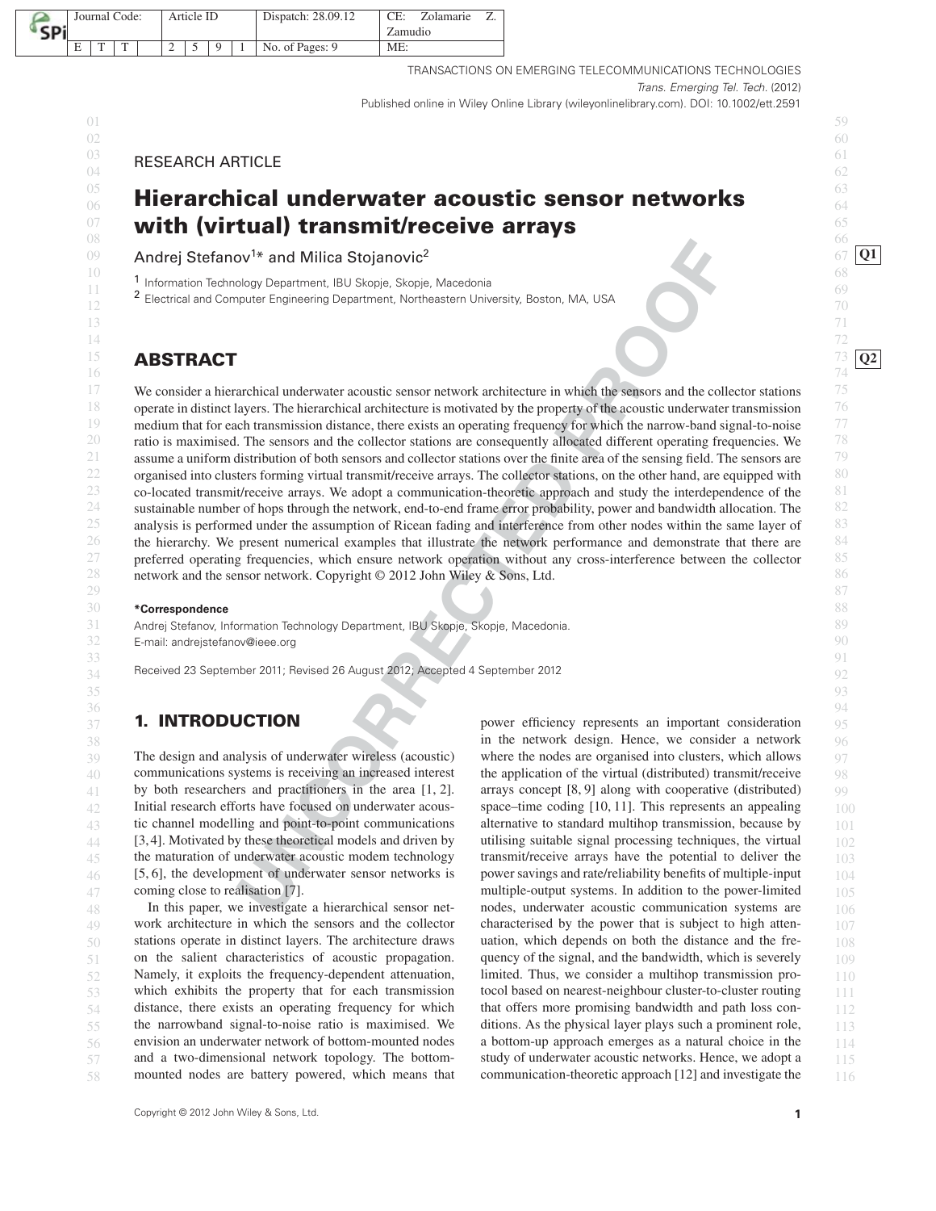|  | Journal Code: |  |   |  | Article ID |  |  |  | Dispatch: 28.09.12 | $CE^*$  | Zolamarie |  |
|--|---------------|--|---|--|------------|--|--|--|--------------------|---------|-----------|--|
|  |               |  |   |  |            |  |  |  |                    | Zamudio |           |  |
|  | E             |  | m |  | ∼          |  |  |  | No. of Pages: 9    | ME:     |           |  |

TRANSACTIONS ON EMERGING TELECOMMUNICATIONS TECHNOLOGIES Trans. Emerging Tel. Tech. (2012) Published online in Wiley Online Library (wileyonlinelibrary.com). DOI: 10.1002/ett.2591

 $\frac{03}{24}$  RESEARCH ARTICLE  $\frac{1}{04}$   $\frac{1}{200}$   $\frac{1}{200}$   $\frac{1}{200}$   $\frac{1}{200}$   $\frac{1}{200}$   $\frac{1}{200}$   $\frac{1}{200}$   $\frac{1}{200}$   $\frac{1}{200}$   $\frac{1}{200}$   $\frac{1}{200}$   $\frac{1}{200}$   $\frac{1}{200}$   $\frac{1}{200}$   $\frac{1}{200}$   $\frac{1}{200}$   $\frac{1}{200}$   $\frac{1}{$ 

### $^{05}$  flows which we demander constitution of the distribution  $^{63}$ 06 64 **Hierarchical underwater acoustic sensor networks**  $^{07}$  with (virtual) transmit/receive arrays  $^{05}$ 08 66 **with (virtual) transmit/receive arrays**

09 Andrej Stefanov<sup>1\*</sup> and Milica Stojanovic<sup>2</sup> and Milica Stojanovic<sup>2</sup> and a stole of the story of the stop of the stop of the stop of the stop of the stop of the stop of the stop of the stop of the stop of the stop of t

10 68 1 Information Technology Department, IBU Skopje, Skopje, Macedonia

11 minimal de la contratte de la contratte de la contratte de la contratte de la contratte de la contratte de la contratte de la contratte de la contratte de la contratte de la contratte de la contratte de la contratte de <sup>11</sup> <sup>2</sup> Electrical and Computer Engineering Department, Northeastern University, Boston, MA, USA <sup>09</sup><br>12

### 15 **ABSTRACT** 13 **ABSTRACT** 13 16 **74 16 16 16 174 174 174 174 174 174 174 174 174 174 174 174 174 174 174 175 175 175 175 175 175 175 175 175 175 175 175 175 175 175 175 175 175**

**Coology Department:** IBU Skopje, Skopje, Moedoonia<br>
Dolgy Department: IBU Skopje, Skopje, Moedoonia<br>
Inversible, Skopie, Moedoonia<br>
Inversible, Skopie, Moedoonia<br>
Inversible, Skopie, Moedoonia<br>
Inversible, The intermediat <sup>17</sup> We consider a hierarchical underwater acoustic sensor network architecture in which the sensors and the collector stations <sup>75</sup>  $18$  operate in distinct layers. The hierarchical architecture is motivated by the property of the acoustic underwater transmission <sup>19</sup> medium that for each transmission distance, there exists an operating frequency for which the narrow-band signal-to-noise 20 ratio is maximised. The sensors and the collector stations are consequently allocated different operating frequencies. We 21 assume a uniform distribution of both sensors and collector stations over the finite area of the sensing field. The sensors are  $\frac{79}{100}$  $22$  organised into clusters forming virtual transmit/receive arrays. The collector stations, on the other hand, are equipped with  $23$  co-located transmit/receive arrays. We adopt a communication-theoretic approach and study the interdependence of the 24 sustainable number of hops through the network, end-to-end frame error probability, power and bandwidth allocation. The 25 analysis is performed under the assumption of Ricean fading and interference from other nodes within the same layer of 26 the hierarchy. We present numerical examples that illustrate the network performance and demonstrate that there are  $27$  preferred operating frequencies, which ensure network operation without any cross-interference between the collector 28 network and the sensor network. Copyright  $\odot$  2012 John Wiley & Sons, Ltd.

 $29$  87

 $35$  93

### 30 88 **\*Correspondence**

31 89 Andrej Stefanov, Information Technology Department, IBU Skopje, Skopje, Macedonia.

32 E-mail: andrejstefanov@ieee.org 32 and 500 minutes and 500 minutes and 500 minutes and 500 minutes and 500 minutes and 500 minutes and 500 minutes and 500 minutes and 500 minutes and 500 minutes and 500 minutes and 500

 $33$  91  $34$  Received 23 September 2011; Revised 26 August 2012; Accepted 4 September 2012

# **1. INTRODUCTION**

The design and analysis of underwater wireless (acoustic) communications systems is receiving an increased interest by both researchers and practitioners in the area [1, 2]. Initial research efforts have focused on underwater acous-[5, 6], the development of underwater sensor networks is coming close to realisation [7].

48 In this paper, we investigate a hierarchical sensor net- nodes, underwater acoustic communication systems are  $106$ 49 work architecture in which the sensors and the collector characterised by the power that is subject to high atten- $107$ 50 stations operate in distinct layers. The architecture draws uation, which depends on both the distance and the fre-<br>108  $51$  on the salient characteristics of acoustic propagation. quency of the signal, and the bandwidth, which is severely  $109$  $52$  Namely, it exploits the frequency-dependent attenuation, limited. Thus, we consider a multihop transmission pro-<br>110 53 which exhibits the property that for each transmission to col based on nearest-neighbour cluster-to-cluster routing 111  $54$  distance, there exists an operating frequency for which that offers more promising bandwidth and path loss con-<br>112  $55$  the narrowband signal-to-noise ratio is maximised. We ditions. As the physical layer plays such a prominent role,  $113$  $56$  envision an underwater network of bottom-mounted nodes a bottom-up approach emerges as a natural choice in the  $114$ 57 and a two-dimensional network topology. The bottom-<br>study of underwater acoustic networks. Hence, we adopt a  $115$ In this paper, we investigate a hierarchical sensor netstations operate in distinct layers. The architecture draws on the salient characteristics of acoustic propagation. the narrowband signal-to-noise ratio is maximised. We envision an underwater network of bottom-mounted nodes and a two-dimensional network topology. The bottom-

 $\frac{36}{24}$  94  $37$  **1. INTRODUCTION** power efficiency represents an important consideration  $95$ 38 **in the network design. Hence, we consider a network** 96 39 The design and analysis of underwater wireless (acoustic) where the nodes are organised into clusters, which allows 97  $40$  communications systems is receiving an increased interest the application of the virtual (distributed) transmit/receive  $98$ 41 by both researchers and practitioners in the area [1, 2]. arrays concept [8, 9] along with cooperative (distributed) 99 42 Initial research efforts have focused on underwater acous-<br>space–time coding [10, 11]. This represents an appealing  $100$  $43$  tic channel modelling and point-to-point communications alternative to standard multihop transmission, because by  $101$  $44$  [3, 4]. Motivated by these theoretical models and driven by utilising suitable signal processing techniques, the virtual  $102$  $45$  the maturation of underwater acoustic modem technology transmit/receive arrays have the potential to deliver the  $103$  $46$  [5, 6], the development of underwater sensor networks is power savings and rate/reliability benefits of multiple-input  $104$  $47$  coming close to realisation [7]. The same systems. In addition to the power-limited  $105$ 58 mounted nodes are battery powered, which means that communication-theoretic approach [12] and investigate the 116 alternative to standard multihop transmission, because by utilising suitable signal processing techniques, the virtual transmit/receive arrays have the potential to deliver the characterised by the power that is subject to high attenlimited. Thus, we consider a multihop transmission protocol based on nearest-neighbour cluster-to-cluster routing that offers more promising bandwidth and path loss concommunication-theoretic approach [12] and investigate the

01  $\,$  59  $02 \t\t\t 60$  $13$   $13$ 14 72

**Q1**

**Q2**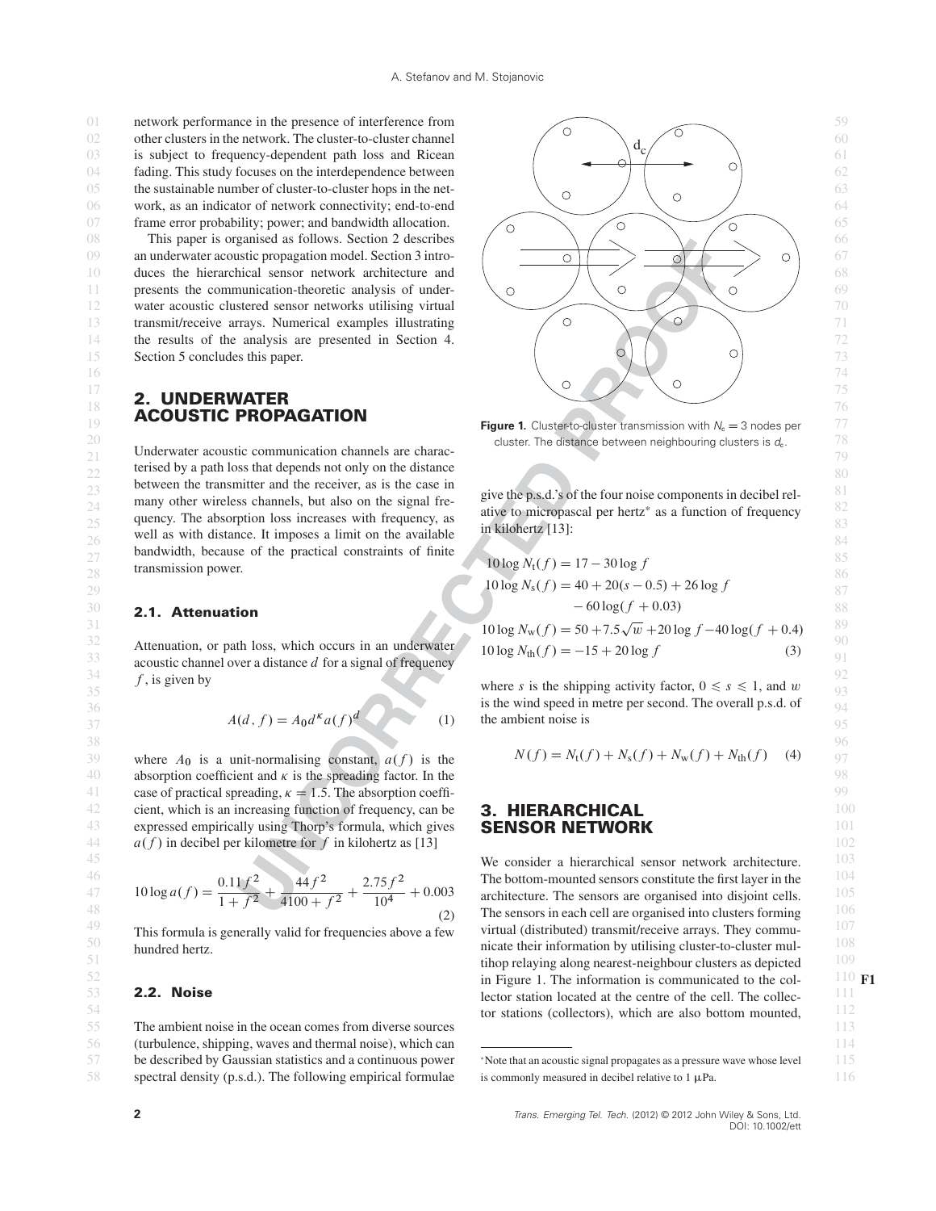01 network performance in the presence of interference from 59 02 other clusters in the network. The cluster-to-cluster channel  $\overrightarrow{d}$   $\overrightarrow{d}$   $\overrightarrow{d}$   $\overrightarrow{0}$  60 03 is subject to frequency-dependent path loss and Ricean  $\left( \begin{array}{ccc} 0 & -c & 0 \\ 0 & 0 & c \end{array} \right)$  61 04 fading. This study focuses on the interdependence between  $\begin{pmatrix} 0 & 1 \\ 0 & 0 \end{pmatrix}$   $\begin{pmatrix} 0 & 0 \\ 0 & 0 \end{pmatrix}$  62 05 the sustainable number of cluster-to-cluster hops in the net-<br>  $\bigcirc$ 06 work, as an indicator of network connectivity; end-to-end 64

# **2. UNDERWATER**

Underwater acoustic communication channels are charac-<br>
<sup>21</sup>  $\frac{1}{2}$  $22$  terised by a path loss that depends not only on the distance  $80$  $\frac{23}{23}$  between the transmitter and the fecerver, as is the case in<br>many other wireless channels, but also on the signal free. give the p.s.d.'s of the four noise components in decibel rel-24 Billiam of the absorption loss increases with frequency as a dive to micropascal per hertz\* as a function of frequency 82 quency. The absorption loss increases with frequency, as  $\frac{a\mu}{25}$  in kilohertz [13].  $26$  well as with distance. It imposes a limit on the available  $\frac{1}{2}$  in Knonettz [15]. bandwidth, because of the practical constraints of finite  $\frac{10 \log N(f) - 17 - 30 \log f}{1000}$ between the transmitter and the receiver, as is the case in many other wireless channels, but also on the signal fretransmission power.

 $33$  acoustic channel over a distance d for a signal of frequency  $10 \log N_{\text{th}}(f) = -15 + 20 \log f$  $34$  f is given by  $f$ , is given by

$$
A(d, f) = A_0 d^{k} a(f)^{d}
$$
 (1) the ambient noise is

39 where  $A_0$  is a unit-normalising constant,  $a(f)$  is the  $N(f) = N_t(f) + N_s(f) + N_w(f) + N_{th}(f)$  (4) 97 40 absorption coefficient and  $\kappa$  is the spreading factor. In the 41 case of practical spreading,  $\kappa = 1.5$ . The absorption coeffi- $42$  cient, which is an increasing function of frequency, can be **3. HIERARCHICAL**  $100$ 43 expressed empirically using Thorp's formula, which gives **SENSOR NETWORK Example 2018** 44  $a(f)$  in decibel per kilometre for f in kilohertz as [13]  $102$ 

47 105 architecture. The sensors are organised into disjoint cells. <sup>10</sup> log a.f / <sup>D</sup> 0:11f <sup>2</sup> <sup>1</sup> <sup>C</sup> <sup>f</sup> <sup>2</sup> <sup>C</sup> 44f <sup>2</sup> <sup>4100</sup> <sup>C</sup> <sup>f</sup> <sup>2</sup> <sup>C</sup> 2:75f <sup>2</sup> <sup>10</sup><sup>4</sup> <sup>C</sup> 0:003 (2)

 $50$  hundred hertz.  $108$ This formula is generally valid for frequencies above a few hundred hertz.

### **2.2. Noise**

55 113 The ambient noise in the ocean comes from diverse sources 56 (turbulence, shipping, waves and thermal noise), which can **the contract of the contract of the contract of the contract of the contract of the contract of the contract of the contract of the contract of the contract of** 57 be described by Gaussian statistics and a continuous power \*Note that an acoustic signal propagates as a pressure wave whose level 115 58 spectral density (p.s.d.). The following empirical formulae is commonly measured in decibel relative to 1  $\mu$ Pa. 116 be described by Gaussian statistics and a continuous power



**Exercise 19 Figure 1.** Cluster-to-cluster transmission with  $N_c = 3$  nodes per  $\frac{77}{2}$ 20 **11 11 12 20 78** cluster. The distance between neighbouring clusters is  $d_c$ . The distance between neighbouring clusters is  $d_c$ .

in kilohertz [13]:

| 27 | 50                                             |
|----|------------------------------------------------|
| 28 | transmission power.                            |
| 29 | 10 log $N_t(f) = 17 - 30 \log f$               |
| 29 | 10 log $N_s(f) = 40 + 20(s - 0.5) + 26 \log f$ |
| 20 | 60 log $(f + 0.03)$                            |

$$
31 = 111 \text{ THEOREMALICE}
$$
  
\n
$$
32 = 32
$$
  
\n
$$
33 = 10 \log N_w(f) = 50 + 7.5\sqrt{w} + 20 \log f - 40 \log(f + 0.4)
$$
  
\n
$$
33 = 10 \log N_w(f) = -15 + 20 \log f
$$
  
\n
$$
33 = 10 \log N_w(f) = -15 + 20 \log f
$$
  
\n
$$
(3) = 91
$$

f, is given by<br>35 where s is the shipping activity factor,  $0 \le s \le 1$ , and w  $36$  is the wind speed in metre per second. The overall p.s.d. of  $94$ the ambient noise is

$$
38
$$
\n
$$
N(f) = N_t(f) + N_s(f) + N_w(f) + N_{th}(f) \quad (4)
$$
\n
$$
96
$$
\n
$$
N(f) = N_t(f) + N_s(f) + N_w(f) + N_{th}(f) \quad (4)
$$

### **3. HIERARCHICAL SENSOR NETWORK**

**103 We consider a hierarchical sensor network architecture.** 103  $0.11 f<sup>2</sup>$   $44 f<sup>2</sup>$   $2.75 f<sup>2</sup>$  The bottom-mounted sensors constitute the first layer in the  $\frac{1}{1+j}$  +100 +  $\frac{1}{10}$  10  $\frac{10}{2}$  The sensors in each cell are organised into clusters forming  $\frac{106}{2}$ <sup>49</sup> This formula is generally valid for frequencies above a few virtual (distributed) transmit/receive arrays. They commu- tihop relaying along nearest-neighbour clusters as depicted  $109$  in Figure 1. The information is communicated to the col-  $110$  F1 **2.2. Noise** 2.1 **111** lector station located at the centre of the cell. The collec-tor stations (collectors), which are also bottom mounted,  $112$ 

is commonly measured in decibel relative to  $1 \mu Pa$ .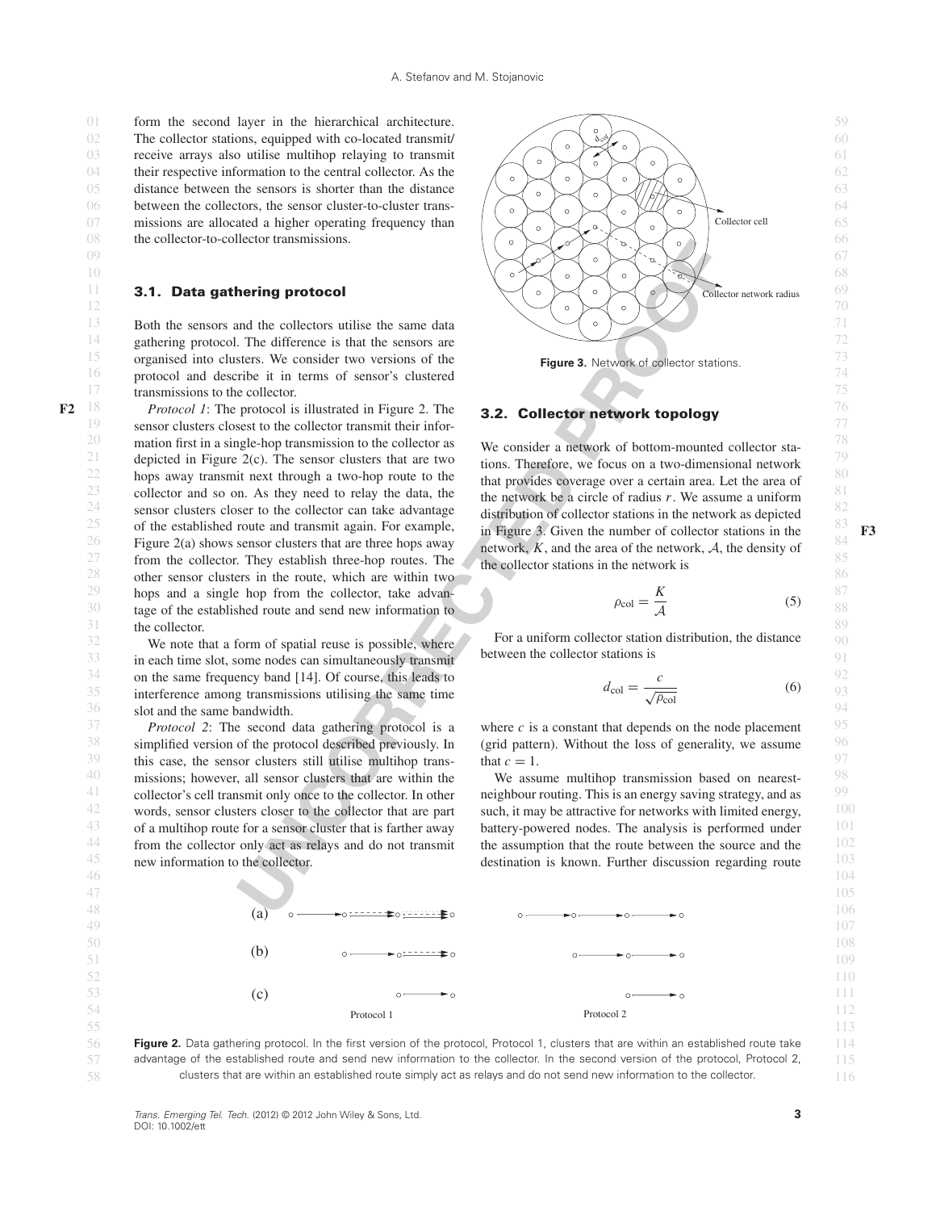02 The collector stations, equipped with co-located transmit/  $\left(\sum_{i=1}^{\infty} x_i\right)^{1/2}$ 03 61 receive arrays also utilise multihop relaying to transmit 04 their respective information to the central collector. As the  $\sqrt{2\pi}$ 05 distance between the sensors is shorter than the distance  $\sqrt{8}$ 06 64 between the collectors, the sensor cluster-to-cluster trans-07 missions are allocated a higher operating frequency than  $\left( \bigtimes_{\alpha} \bigtimes_{\beta} \bigtimes_{\beta} \right)$   $\left( \bigtimes_{\beta} \bigtimes_{\beta} \right)$ 08 the collector-to-collector transmissions.  $\left( \begin{array}{c} \circ \\ \circ \end{array} \right)$   $\left( \begin{array}{c} \circ \\ \circ \end{array} \right)$   $\left( \begin{array}{c} \circ \\ \circ \end{array} \right)$ 

<sup>15</sup> organised into clusters. We consider two versions of the **Figure 3.** Network of collector stations. 16 74 protocol and describe it in terms of sensor's clustered 17 transmissions to the collector. The collector of the collector of the collector.

**INTERFERENCE CONSULTER CONSULTER CONSULTER CONSULTER CONSULTER CONSULTER CONSULTER CONSULTER CONSULTER CONSULTER CONSULTER CONSULTER CONSULTER CONSULTER CONSULTER CONSULTER CONSULTER CONSULTER CONSULTER CONSULTER CONSULT** F2  $^{18}$  *Protocol 1*: The protocol is illustrated in Figure 2. The **3.2. Collector network topology**  $^{76}$ 19 sensor clusters closest to the collector transmit their infor-20 mation first in a single-hop transmission to the collector as We consider a network of bottom-mounted collector sta-21 depicted in Figure 2(c). The sensor clusters that are two  $\frac{1}{100}$  tions. Therefore, we focus on a two-dimensional network  $\frac{79}{2}$  $22$  hops away transmit next through a two-hop route to the that provides coverage over a certain area. Let the area of  $80$ 23 collector and so on. As they need to relay the data, the the network be a circle of radius r. We assume a uniform 24 sensor clusters closer to the collector can take advantage distribution of collector stations in the network as denicted  $82$ <sup>25</sup> of the established route and transmit again. For example,  $\frac{1}{10}$  Figure 3. Given the number of collector stations in the <sup>83</sup>  $^{26}$  Figure 2(a) shows sensor clusters that are three hops away network. K, and the area of the network. A, the density of  $^{84}$  $27$  from the collector. They establish three-hop routes. The the collector stations in the network is 28 other sensor clusters in the route, which are within two  $\frac{28}{36}$ <sup>29</sup> hops and a single hop from the collector, take advan-<br> $\frac{1}{2}$   $\frac{1}{2}$   $\frac{1}{2}$   $\frac{1}{2}$   $\frac{1}{2}$   $\frac{1}{2}$   $\frac{1}{2}$   $\frac{1}{2}$   $\frac{1}{2}$   $\frac{1}{2}$   $\frac{1}{2}$   $\frac{1}{2}$   $\frac{1}{2}$   $\frac{1}{2}$   $\frac{1}{2}$   $\frac{1}{2}$   $\$ 30 tage of the established route and send new information to  $\frac{\rho_{\text{col}} - \overline{A}}{\rho_{\text{col}} - \overline{A}}$  $31$  the collector.  $89$ the collector.

 $33$  in each time slot, some nodes can simultaneously transmit between the collector stations is <sup>34</sup> on the same frequency band [14]. Of course, this leads to  $\frac{92}{100}$ 35 interference among transmissions utilising the same time  $a_{\text{col}} = \frac{a_{\text{col}}}{\sqrt{\rho_{\text{col}}}}$  (6) 93 36 slot and the same bandwidth. 94

 $38$  simplified version of the protocol described previously. In (grid pattern). Without the loss of generality, we assume  $96$ <sup>39</sup> this case, the sensor clusters still utilise multihop trans-<br><sup>39</sup> that  $c = 1$ .  $40$  missions; however, all sensor clusters that are within the We assume multihop transmission based on nearest-<sup>41</sup> collector's cell transmit only once to the collector. In other neighbour routing. This is an energy saving strategy, and as  $\frac{99}{2}$  $42$  words, sensor clusters closer to the collector that are part such, it may be attractive for networks with limited energy,  $100$  $43$  of a multihop route for a sensor cluster that is farther away battery-powered nodes. The analysis is performed under  $101$ <sup>44</sup> from the collector only act as relays and do not transmit the assumption that the route between the source and the  $102$  $45$  new information to the collector. The set of the discussion regarding route  $103$ *Protocol 2*: The second data gathering protocol is a new information to the collector.



**Figure 3.** Network of collector stations.

### **3.2. Collector network topology**

We consider a network of bottom-mounted collector stations. Therefore, we focus on a two-dimensional network that provides coverage over a certain area. Let the area of the network be a circle of radius  $r$ . We assume a uniform distribution of collector stations in the network as depicted in Figure 3. Given the number of collector stations in the  $\frac{83}{84}$  F3 network,  $K$ , and the area of the network,  $A$ , the density of the collector stations in the network is

$$
\rho_{\rm col} = \frac{K}{\mathcal{A}}\tag{5}
$$

 $32$  We note that a form of spatial reuse is possible, where  $\sim$  For a uniform collector station distribution, the distance  $\sim$  90 For a uniform collector station distribution, the distance between the collector stations is

$$
d_{\rm col} = \frac{c}{\sqrt{\rho_{\rm col}}} \tag{6}
$$

 $37$  Protocol 2: The second data gathering protocol is a where c is a constant that depends on the node placement  $95$ (grid pattern). Without the loss of generality, we assume that  $c = 1$ .

> We assume multihop transmission based on nearestneighbour routing. This is an energy saving strategy, and as such, it may be attractive for networks with limited energy, battery-powered nodes. The analysis is performed under the assumption that the route between the source and the



46 and 104 and 2012 and 2013 and 2014 and 2014 and 2014 and 2014 and 2014 and 2014 and 2014 and 2014 and 2014

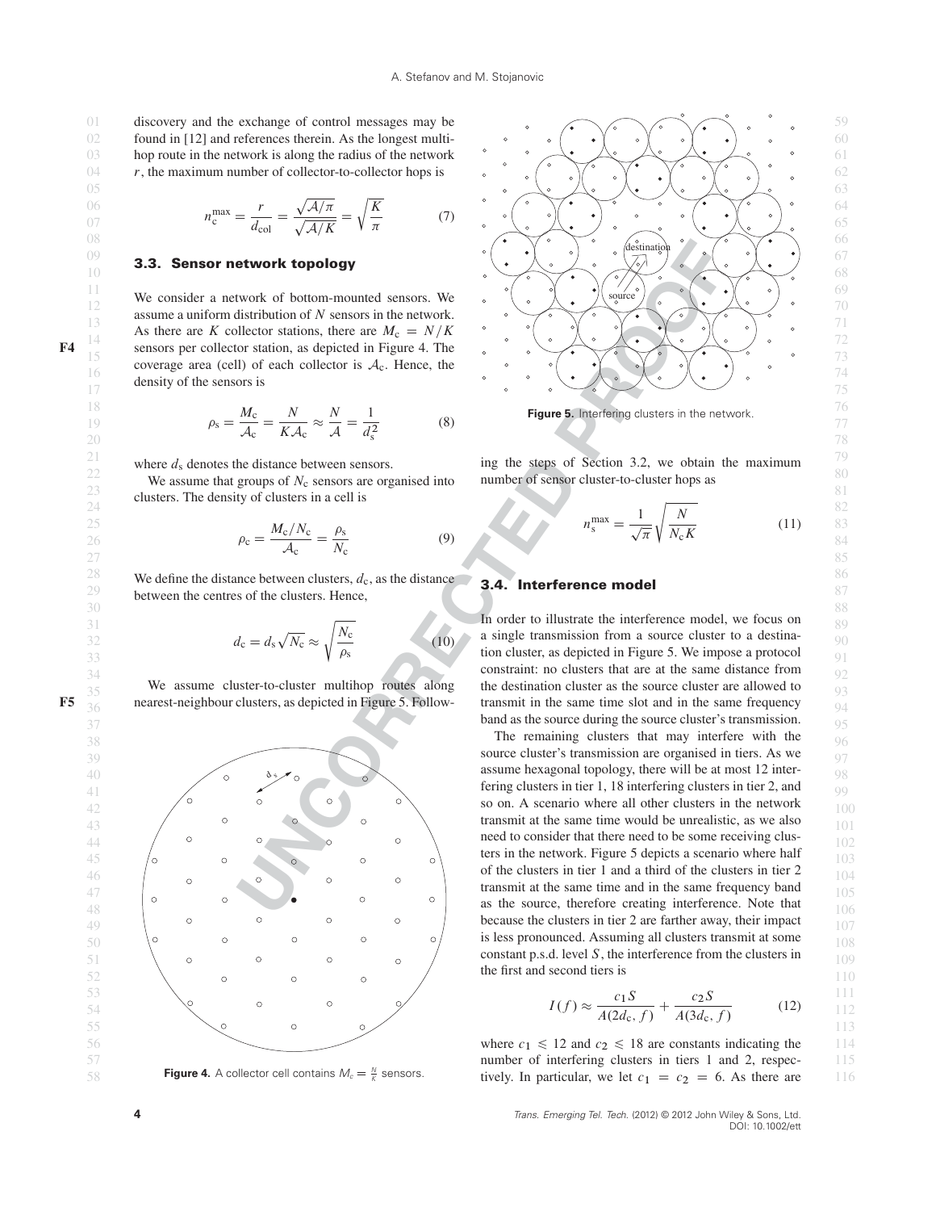02 found in [12] and references therein. As the longest multi-  $\circ \circ (\bullet) \bullet \circ (\bullet) \circ \bullet$ 03 hop route in the network is along the radius of the network  $\frac{1}{2}$  or  $\frac{1}{2}$  or  $\frac{1}{2}$  or  $\frac{1}{2}$  or  $\frac{1}{2}$  or  $\frac{1}{2}$  or  $\frac{1}{2}$  or  $\frac{1}{2}$  or  $\frac{1}{2}$  or  $\frac{1}{2}$  or  $\frac{1}{2}$  or  $\frac{1}{2}$  or  $\$ 

$$
n_c^{\text{max}} = \frac{r}{d_{\text{col}}} = \frac{\sqrt{\mathcal{A}/\pi}}{\sqrt{\mathcal{A}/K}} = \sqrt{\frac{K}{\pi}} \tag{7}
$$

density of the sensors is

$$
\rho_{\rm s} = \frac{M_{\rm c}}{A_{\rm c}} = \frac{N}{K A_{\rm c}} \approx \frac{N}{A} = \frac{1}{d_{\rm s}^2}
$$
\n(8) Figure 5. Interfering clusters in the network.

where  $d_s$  denotes the distance between sensors.

 $\frac{23}{\text{c} \cdot \text{c}}$  clusters. The density of clusters in a cell is  $\frac{81}{\text{c} \cdot \text{c}}$ 

$$
\rho_{\rm c} = \frac{M_{\rm c}/N_{\rm c}}{\mathcal{A}_{\rm c}} = \frac{\rho_{\rm s}}{N_{\rm c}} \tag{9}
$$
\n
$$
\rho_{\rm c} = \frac{M_{\rm c}/N_{\rm c}}{\mathcal{A}_{\rm c}} = \frac{\rho_{\rm s}}{N_{\rm c}} \tag{11}
$$

28 We define the distance between clusters,  $d_c$ , as the distance 3.4 Interference model  $29$  between the centres of the clusters. Hence,  $87$ 

$$
d_{\rm c} = d_{\rm s} \sqrt{N_{\rm c}} \approx \sqrt{\frac{N_{\rm c}}{\rho_{\rm s}}} \tag{10}
$$



**Figure 4.** A collector cell contains  $M_c = \frac{N}{K}$  sensors.



<sup>21</sup> where  $d_s$  denotes the distance between sensors. ing the steps of Section 3.2, we obtain the maximum <sup>79</sup> 22 We assume that groups of  $N_c$  sensors are organised into number of sensor cluster-to-cluster hops as  $\frac{80}{21}$ number of sensor cluster-to-cluster hops as

$$
p_{\rm c} = \frac{M_{\rm c}/N_{\rm c}}{4} = \frac{\rho_{\rm s}}{N} \tag{11} \qquad \frac{82}{N_{\rm s}} = \frac{1}{\sqrt{\pi}} \sqrt{\frac{N}{N_{\rm c}K}} \tag{11} \qquad \frac{82}{83}
$$

### **3.4. Interference model**

 $30$  88  $\sqrt{\frac{N}{N}}$  In order to illustrate the interference model, we focus on 89 32  $d_c = d_s \sqrt{N_c} \approx \sqrt{\frac{N_c}{T}}$  (10) a single transmission from a source cluster to a destina-33 tion cluster, as depicted in Figure 5. We impose a protocol  $91$  $34$  constraint: no clusters that are at the same distance from  $92$  $\frac{35}{35}$  We assume cluster-to-cluster multihop routes along the destination cluster as the source cluster are allowed to **F5**  $\frac{36}{10}$  nearest-neighbour clusters, as depicted in Figure 5. Follow-<br>transmit in the same time slot and in the same frequency the destination cluster as the source cluster are allowed to transmit in the same time slot and in the same frequency

**EXERCISE THE CONSULTER CONSULT AND ACCUPATION CONSULT AND ACCUPATION CONSULTATION OF SERVER CONSULTATION OF SCIENCISE IN A SERVE OF SIGNAL ACCUPATION CONSULTATION OF CONSULTATION OF CONSULTATION OF CONSULTATION OF CONSUL** the first and second tiers is

$$
I(f) \approx \frac{c_1 S}{A(2d_c, f)} + \frac{c_2 S}{A(3d_c, f)}
$$
(12)

**58 Figure 4.** A collector cell contains  $M_c = \frac{N}{K}$  sensors. tively. In particular, we let  $c_1 = c_2 = 6$ . As there are 116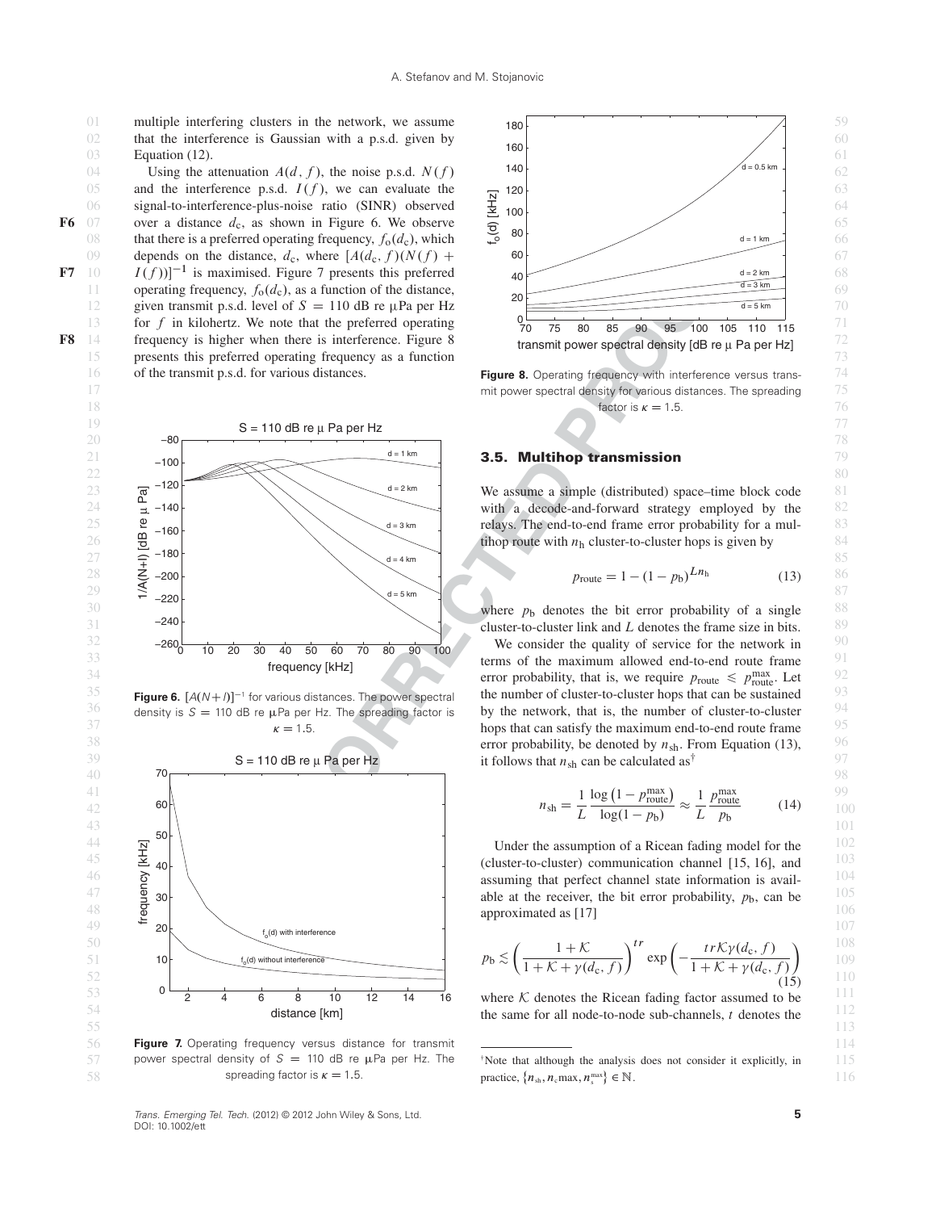02 that the interference is Gaussian with a p.s.d. given by  $\log$ Equation (12).

05 and the interference p.s.d.  $I(f)$ , we can evaluate the  $\frac{1}{2}$  120 06 signal-to-interference-plus-noise ratio (SINR) observed  $\frac{1}{2}$  100. **F6** 07 over a distance  $d_c$ , as shown in Figure 6. We observe  $\frac{d}{d}$ 08 that there is a preferred operating frequency,  $f_0(d_c)$ , which  $\frac{60}{2}$  80 decreases the details of the details of the details of the details of the details of the details of the details of the details of the details 09 depends on the distance,  $d_c$ , where  $[A(d_c, f)(N(f) + 60]$ F7 10  $I(f)$ <sup>-1</sup> is maximised. Figure 7 presents this preferred  $40$   $40$   $d=2km$   $d=2km$  68 11 operating frequency,  $f_0(d_c)$ , as a function of the distance, 12 given transmit p.s.d. level of  $S = 110$  dB re  $\mu$ Pa per Hz d=5km d=5km d=5km d=5km d=5km d=5km d=5km d=5km d=5km d=5km d=5km d=5km d=5km d=5km d=5km d=5km d=5km d=5km d=5km d=5km d=5km d=5km d=5km d=5km d=5km d=5km d= 13 for f in kilohertz. We note that the preferred operating  $\frac{0}{70}$   $\frac{1}{75}$  80 85 90 95 100 105 110 115 71 **F8** 14 frequency is higher when there is interference. Figure 8 transmit power spectral density  $\frac{14}{12}$  Frequency is higher when there is interference. Figure 8 15 73 presents this preferred operating frequency as a function 16 of the transmit p.s.d. for various distances.<br>**Figure 8.** Operating frequency with interference versus transof the transmit p.s.d. for various distances.



 $36$  density is  $S = 110$  dB re  $\mu$ Pa per Hz. The spreading factor is by the network, that is, the number of cluster-to-cluster  $94$ density is  $S = 110$  dB re  $\mu$ Pa per Hz. The spreading factor is



56 114 **Figure 7.** Operating frequency versus distance for transmit 57 power spectral density of  $S = 110$  dB re  $\mu$ Pa per Hz. The  $\Delta$  Note that although the analysis does not consider it explicitly, in 115 power spectral density of  $S = 110$  dB re  $\mu$ Pa per Hz. The spreading factor is  $\kappa = 1.5$ .

Trans. Emerging Tel. Tech. (2012) © 2012 John Wiley & Sons, Ltd. DOI: 10.1002/ett



17 75 mit power spectral density for various distances. The spreading 18 **factor** is  $\kappa = 1.5$ . 76 factor is  $\kappa = 1.5$ .

$$
p_{\text{route}} = 1 - (1 - p_{\text{b}})^{L n_{\text{h}}} \tag{13}
$$

 $35$  Figure 6.  $[A(N+1)]^{-1}$  for various distances. The power spectral the number of cluster-to-cluster hops that can be sustained  $93$  $\kappa = 1.5$  hops that can satisfy the maximum end-to-end route frame  $\frac{95}{5}$ 

$$
n_{\rm sh} = \frac{1}{L} \frac{\log\left(1 - p_{\rm route}^{\rm max}\right)}{\log(1 - p_{\rm b})} \approx \frac{1}{L} \frac{p_{\rm route}^{\rm max}}{p_{\rm b}} \tag{14}
$$

$$
p_{\text{b}} \lesssim \left(\frac{1+\mathcal{K}}{1+\mathcal{K}+\gamma(d_{\text{c}},f)}\right)^{tr} \exp\left(-\frac{tr\mathcal{K}\gamma(d_{\text{c}},f)}{1+\mathcal{K}+\gamma(d_{\text{c}},f)}\right) \tag{15}
$$

**5**

<sup>58</sup> spreading factor is  $\kappa = 1.5$ . practice,  $\{n_{\rm sh}, n_{\rm c}$  max,  $n_{\rm s}^{\rm max}\} \in \mathbb{N}$ . 116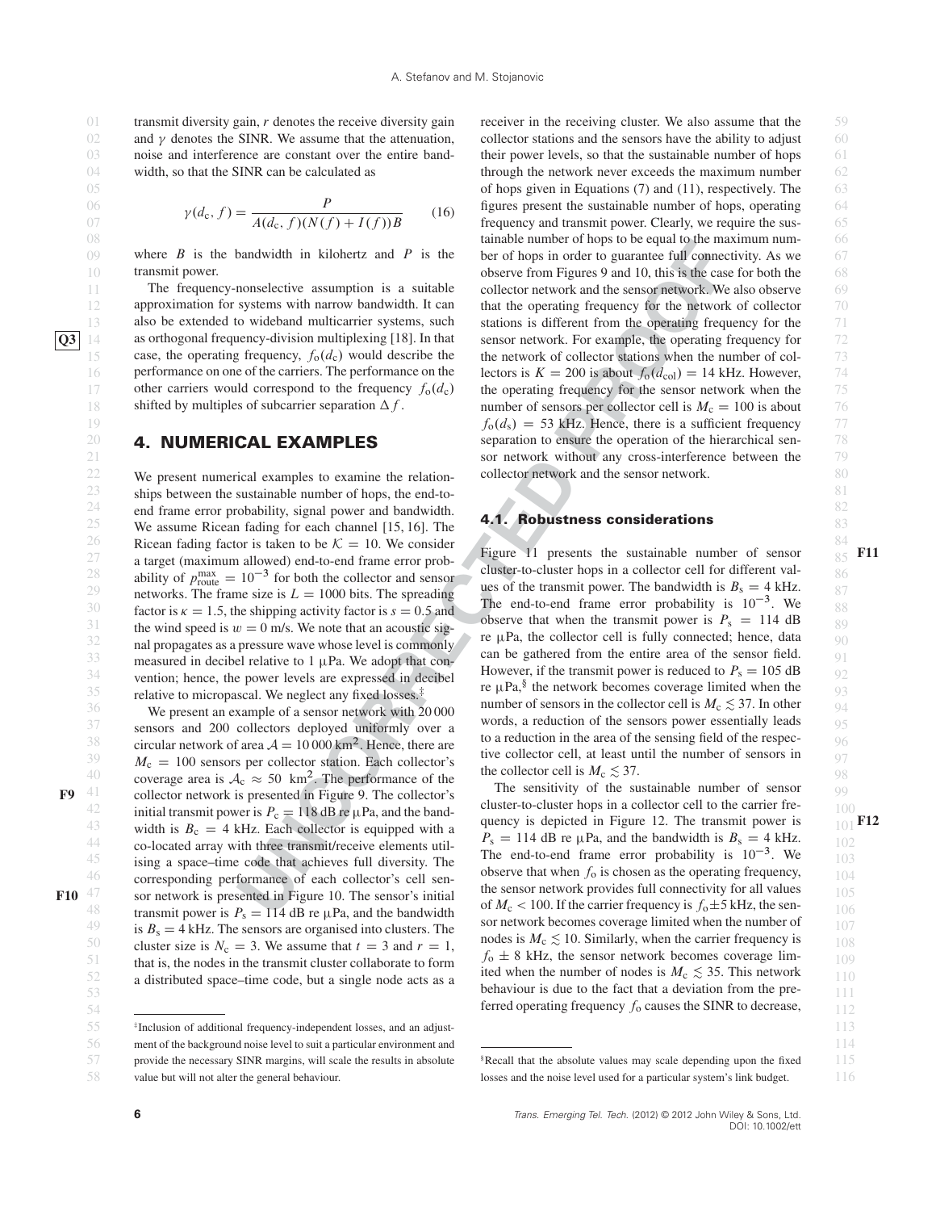02 and  $\gamma$  denotes the SINR. We assume that the attenuation, collector stations and the sensors have the ability to adjust 60 03 noise and interference are constant over the entire band-<br>their power levels, so that the sustainable number of hops 61 and  $\gamma$  denotes the SINR. We assume that the attenuation, noise and interference are constant over the entire bandwidth, so that the SINR can be calculated as

$$
\gamma(d_{\rm c}, f) = \frac{P}{A(d_{\rm c}, f)(N(f) + I(f))B} \tag{16}
$$

 $\theta$  where B is the bandwidth in kilohertz and P is the ber of hops in order to guarantee full connectivity. As we  $\theta$ where  $B$  is the bandwidth in kilohertz and  $P$  is the transmit power.

The frequency-nonselective assumption is a suitable approximation for systems with narrow bandwidth. It can also be extended to wideband multicarrier systems, such **Q3** 14 as orthogonal frequency-division multiplexing [18]. In that case, the operating frequency,  $f_0(d_c)$  would describe the performance on one of the carriers. The performance on the other carriers would correspond to the frequency  $f_0(d_c)$ shifted by multiples of subcarrier separation  $\Delta f$ .

### **4. NUMERICAL EXAMPLES**

 $22$  We present numerical examples to examine the relation-<br>80 23 ships between the sustainable number of hops, the end-to-24 end frame error probability, signal power and bandwidth.  $\overline{a}$  and  $\overline{b}$  abundance considerations.  $25$  We assume Ricean fading for each channel [15, 16]. The  $4.1$ . Kobustness considerations  $83$ 26 Ricean fading factor is taken to be  $K = 10$ . We consider Figure 11 presents the sustainable number of sensor 27 a target (maximum allowed) end-to-end frame error prob-<br> $\frac{1}{27}$  rights are sustainable number of sensor 85 ability of  $p_{\text{route}}^{\text{max}} = 10^{-3}$  for both the collector and sensor<br>
res of the transmit power. The bandwidth is  $R_1 = 4 \text{ kHz}$ 29 networks. The frame size is  $L = 1000$  bits. The spreading the end-to-end frame error probability is  $10^{-3}$  We are 30 factor is  $\kappa = 1.5$ , the shipping activity factor is  $s = 0.5$  and the end-to-end transmit power is  $P_0 = 114$  dB 31 the wind speed is  $w = 0$  m/s. We note that an acoustic sig-<br>32  $32$  nal propagates as a pressure wave whose level is commonly re  $\mu$ Pa, the collector cell is fully connected; hence, data  $33$  measured in decibel relative to 1 µPa. We adopt that con-<br> $\frac{\text{can be gained from the entire area of the sensor field.}}{\text{Hermass if the current is caused to } P_1}$ <sup>34</sup> vention; hence, the power levels are expressed in decibel **However**, if the transmit power is request to  $P_s = 105 \text{ dB}$  92 35 relative to micropascal. We neglect any fixed losses.<sup>‡</sup> **re**  $\mu$ Pa,<sup>3</sup> the network becomes coverage limited when the

 $37$  sensors and 200 collectors deployed uniformly over a words, a reduction of the sensors power essentially leads  $95$ 38 circular network of area  $A = 10000 \text{ km}^2$ . Hence, there are to a reduction in the area of the sensing field of the respec-<br>20  $39$   $M_c = 100$  sensors per collector station. Each collector's the collector cell, at least until the number of sensors in  $97$ <sup>40</sup> coverage area is  $A_c \approx 50 \text{ km}^2$ . The performance of the  $\frac{\text{the collector cell is } M_c \lesssim 37.}{\text{The sensitivity of the sustainable number of sensor} \geq 98.}$  $F9$ <sup>41</sup> collector network is presented in Figure 9. The collector's **Figure 1.1 Collection** in the sustainable number of sensor <sup>42</sup> initial transmit power is  $P_c = 118$  dB re  $\mu$ Pa, and the band-<br>discrete the process depicted in Figure 12. The transmit power is width is  $B_c = 4$  kHz. Each collector is equipped with a quency is depicted in Figure 12. The transmit power is  $P_a = 114$  dB re uPa and the bandwidth is  $B_c = 4$  kHz  $^{44}$  co-located array with three transmit/receive elements util-<br> $^{P_s} = 114$  dB re  $\mu$ Pa, and the bandwidth is  $B_s = 4$  kHz.  $45$  ising a space–time code that achieves full diversity. The  $\frac{103}{103}$  is the strong probability is 10 °. We  $\frac{103}{103}$ <sup>46</sup> corresponding performance of each collector's cell sen-<br> $\frac{0.088}{100}$  consent as the operating requency, F10  $^{47}$  sor network is presented in Figure 10. The sensor's initial the sensor network provides full connectivity for all values  $105$ transmit power is  $P_s = 114$  dB re  $\mu$ Pa, and the bandwidth<br>sor network becomes coverage limited when the number of <sup>49</sup> is  $B_s = 4$  kHz. The sensors are organised into clusters. The sensors are organised into clusters. The sensors are organised into clusters. The sensors are  $\frac{107}{100}$ For the size is  $N_c = 3$ . We assume that  $t = 3$  and  $r = 1$ , nodes is  $M_c \ge 10$ . Similarly, when the carrier frequency is  $108$ 51 that is, the nodes in the transmit cluster collaborate to form  $J_0 \pm 8$  KHz, the sensor network becomes coverage lim-<br>is during the number of a data is  $M \leq 25$ . This actually 52 a distributed space–time code, but a single node acts as a lited when the number of nodes is  $M_c \approx 35$ . Inis network 110



<sup>56</sup> ment of the background noise level to suit a particular environment and  $114$ 

value but will not alter the general behaviour.

bandwidth in kilchertz and *P* is the unit<br>of the of hops in order to guarative follows.<br>
In the control connection Equation (soletic from Figures 2 and 10, this is the control connection exponents of the action of the ac 01 transmit diversity gain, r denotes the receive diversity gain receiver in the receiving cluster. We also assume that the 59  $04$  width, so that the SINR can be calculated as through the network never exceeds the maximum number  $62$ 05 63 of hops given in Equations (7) and (11), respectively. The  $\begin{array}{cc} 06 & 06 \end{array}$   $\begin{array}{cc} 06 & 06 \end{array}$   $\begin{array}{cc} 06 & 06 \end{array}$  figures present the sustainable number of hops, operating  $\begin{array}{cc} 64 & 64 \end{array}$  $(107 \text{ A}(\text{d}_c, f))$   $A(\text{d}_c, f)(N(f) + I(f))$  frequency and transmit power. Clearly, we require the sus-08 **66** tainable number of hops to be equal to the maximum num-10 transmit power. **Example 10** observe from Figures 9 and 10, this is the case for both the 68 11 The frequency-nonselective assumption is a suitable collector network and the sensor network. We also observe 69 12 approximation for systems with narrow bandwidth. It can that the operating frequency for the network of collector 70 13 also be extended to wideband multicarrier systems, such stations is different from the operating frequency for the 71 14 as orthogonal frequency-division multiplexing [18]. In that sensor network. For example, the operating frequency for 72 15 case, the operating frequency,  $f_0(d_c)$  would describe the the network of collector stations when the number of col- 73 16 performance on one of the carriers. The performance on the lectors is  $K = 200$  is about  $f_0(d_{\text{col}}) = 14$  kHz. However, 74 17 other carriers would correspond to the frequency  $f_0(d_c)$  the operating frequency for the sensor network when the 25 18 shifted by multiples of subcarrier separation  $\Delta f$ . number of sensors per collector cell is  $M_c = 100$  is about 76  $f_0(d_s) = 53$  kHz. Hence, there is a sufficient frequency  $77$ **20 4. NUMERICAL EXAMPLES** separation to ensure the operation of the hierarchical sen-21 **sor network without any cross-interference between the** 79 receiver in the receiving cluster. We also assume that the collector network and the sensor network.

# **4.1. Robustness considerations**

<sup>36</sup> We present an example of a sensor network with 20 000 number of sensors in the collector cell is  $M_c \lesssim 37$ . In other 94 Figure 11 presents the sustainable number of sensor 85 F11 cluster-to-cluster hops in a collector cell for different values of the transmit power. The bandwidth is  $B_s = 4$  kHz. The end-to-end frame error probability is  $10^{-3}$ . We observe that when the transmit power is  $P_s = 114$  dB re  $\mu$ Pa, the collector cell is fully connected; hence, data can be gathered from the entire area of the sensor field. However, if the transmit power is reduced to  $P_s = 105$  dB re  $\mu$ Pa,<sup>§</sup> the network becomes coverage limited when the number of sensors in the collector cell is  $M_c \lesssim 37$ . In other words, a reduction of the sensors power essentially leads to a reduction in the area of the sensing field of the respective collector cell, at least until the number of sensors in the collector cell is  $M_c \lesssim 37$ .

53 111 behaviour is due to the fact that a deviation from the pre- $\frac{112}{54}$  ferred operating frequency  $f_0$  causes the SINR to decrease,  $\frac{112}{112}$ The sensitivity of the sustainable number of sensor cluster-to-cluster hops in a collector cell to the carrier frequency is depicted in Figure 12. The transmit power is  $\frac{1}{1}$  **F12**  $P_s = 114$  dB re  $\mu$ Pa, and the bandwidth is  $B_s = 4$  kHz. The end-to-end frame error probability is  $10^{-3}$ . We observe that when  $f_0$  is chosen as the operating frequency, the sensor network provides full connectivity for all values of  $M_c$  < 100. If the carrier frequency is  $f_0 \pm 5$  kHz, the sensor network becomes coverage limited when the number of nodes is  $M_c \lesssim 10$ . Similarly, when the carrier frequency is  $f_0 \pm 8$  kHz, the sensor network becomes coverage limited when the number of nodes is  $M_c \lesssim 35$ . This network

provide the necessary SINR margins, will scale the results in absolute

 $57$  provide the necessary SINR margins, will scale the results in absolute  $$Recall that the absolute values may scale depending upon the fixed$  115 58 value but will not alter the general behaviour. In losses and the noise level used for a particular system's link budget. 116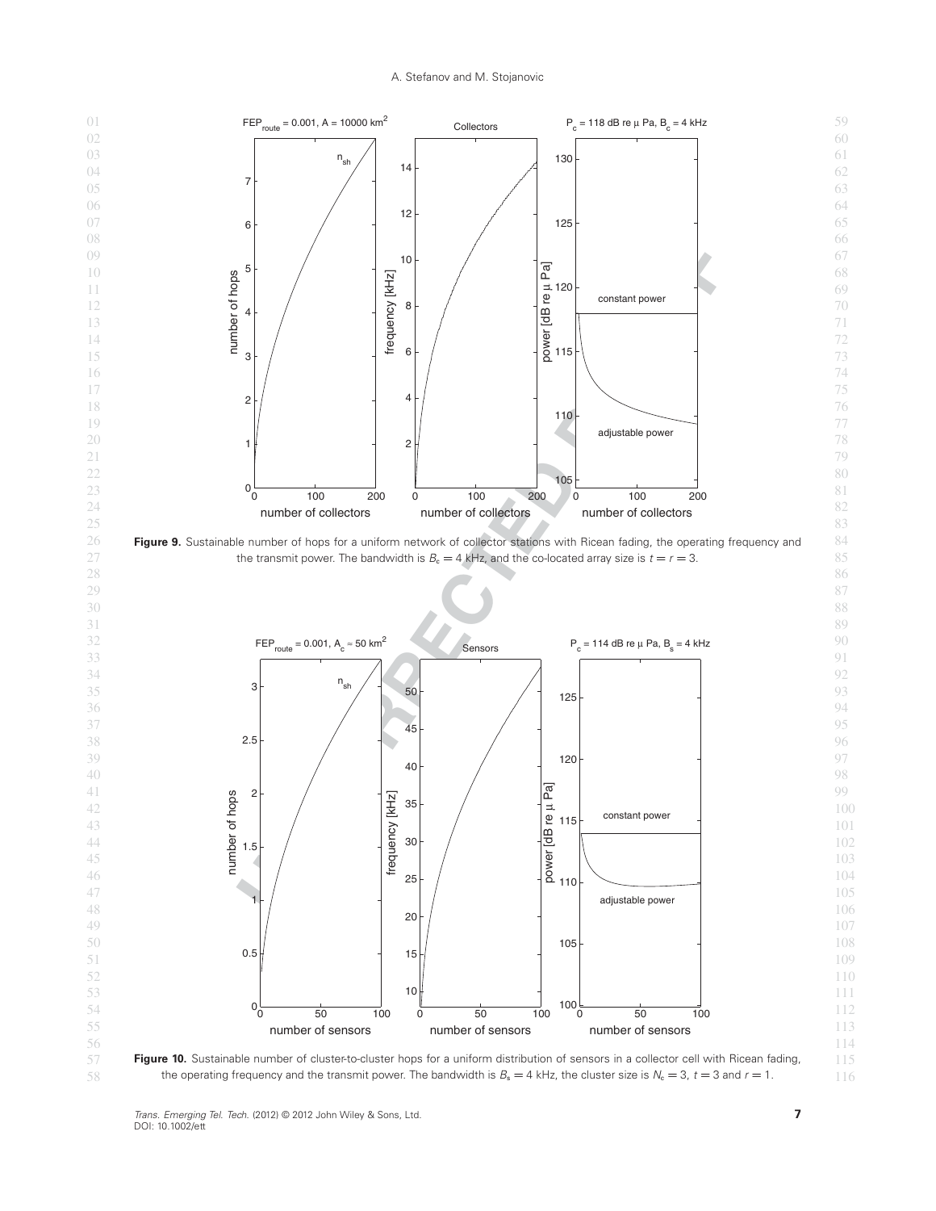### A. Stefanov and M. Stojanovic

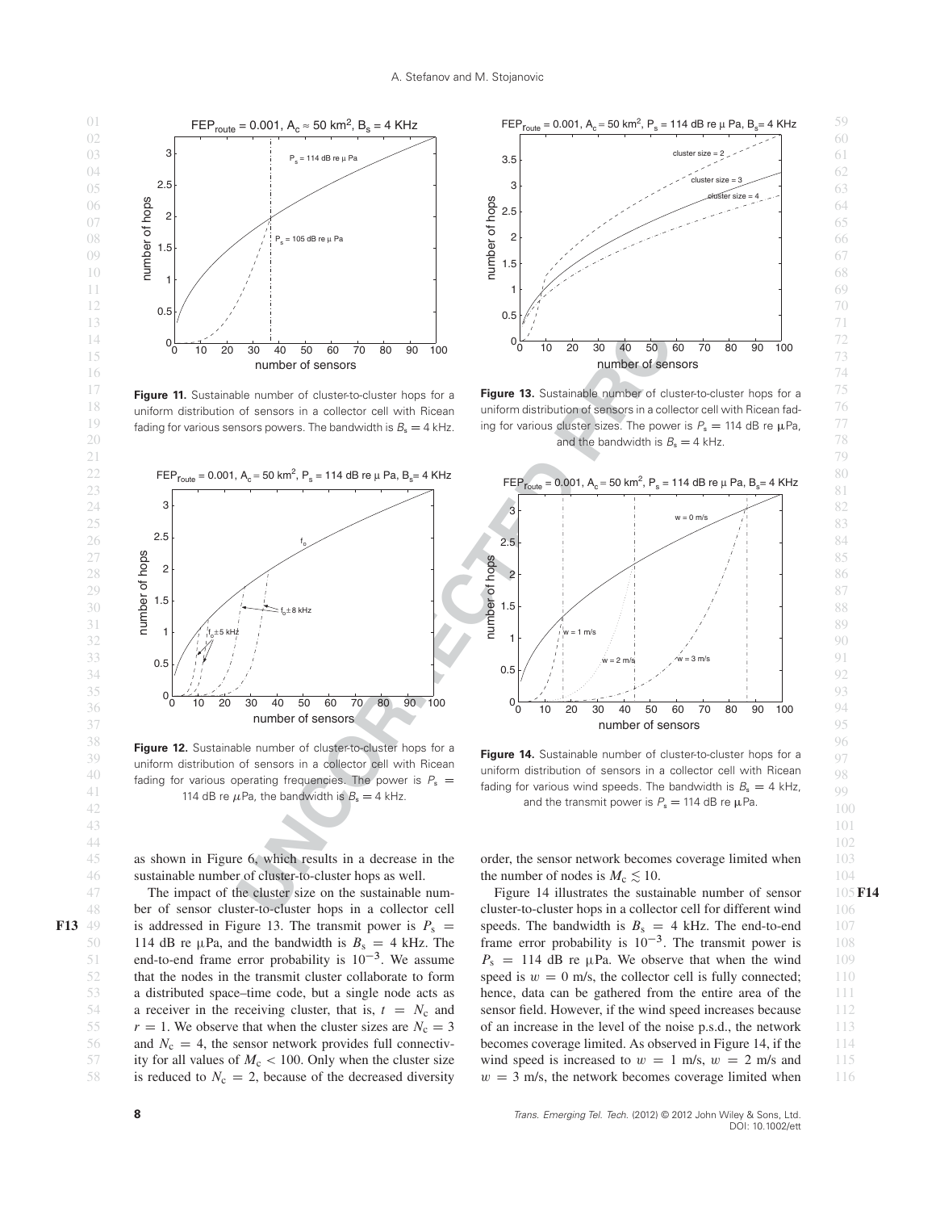43 and 101 and 101 and 101 and 101 and 101 and 101 and 101 and 101 and 101 and 101 and 101 and 101 44 **102** 102



 $^{18}$  uniform distribution of sensors in a collector cell with Ricean uniform distribution of sensors in a collector cell with Ricean fad-  $^{76}$ Figure 11. Sustainable number of cluster-to-cluster hops for a uniform distribution of sensors in a collector cell with Ricean fading for various sensors powers. The bandwidth is  $B_s = 4$  kHz.



38<br>**Figure 12.** Sustainable number of cluster-to-cluster hops for a **Figure 14.** Sustainable number of cluster to hear for a second that

0 10 20 30 40 50 60 70 80 90 100 0.5 1 1.5 2 2.5 3 3.5 number of sensors number of hops cluster size cluster size = 2  $e$ luster size = 4

 $^{17}$  **Figure 11.** Sustainable number of cluster-to-cluster hops for a **Figure 13.** Sustainable number of cluster-to-cluster hops for a  $^{75}$ 19 fading for various sensors powers. The bandwidth is  $B_s = 4$  kHz. ing for various cluster sizes. The power is  $P_s = 114$  dB re  $\mu$ Pa,  $77$  $20$  and the bandwidth is  $B_s = 4$  kHz.



 $39$  by the sensors in a collector cell with Ricean **Figure 14.** Sustainable number of cluster-to-cluster hops for a  $97$  cluster of sensors in a collector cell with Piecen 40 fading for various operating frequencies. The power is  $P_s =$  dinitorm distribution of sensors in a collector cell with Ricean  $\frac{98}{100}$ 41 adding for various wind speeds. The bandwidth is  $B_s = 4$  kHz.<br>and the transmit power is  $P_s = 114$  dB re u.Pa.  $42$  and the transmit power is  $r_s = 114$  up for  $\mu$  a. **Figure 14.** Sustainable number of cluster-to-cluster hops for a uniform distribution of sensors in a collector cell with Ricean fading for various wind speeds. The bandwidth is  $B_s = 4$  kHz, and the transmit power is  $P_s = 114$  dB re  $\mu$ Pa.

45 as shown in Figure 6, which results in a decrease in the order, the sensor network becomes coverage limited when 103 46 sustainable number of cluster-to-cluster hops as well. the number of nodes is  $M_c \lesssim 10$ .

48 ber of sensor cluster-to-cluster hops in a collector cell cluster-to-cluster hops in a collector cell for different wind 106 **F13** 49 is addressed in Figure 13. The transmit power is  $P_s = \text{speeds}$ . The bandwidth is  $B_s = 4 \text{ kHz}$ . The end-to-end 107 50 114 dB re  $\mu$ Pa, and the bandwidth is  $B_s = 4$  kHz. The frame error probability is  $10^{-3}$ . The transmit power is 108 51 end-to-end frame error probability is  $10^{-3}$ . We assume  $P_s = 114$  dB re  $\mu$ Pa. We observe that when the wind 109 52 that the nodes in the transmit cluster collaborate to form speed is  $w = 0$  m/s, the collector cell is fully connected; 110 53 a distributed space–time code, but a single node acts as hence, data can be gathered from the entire area of the 111 54 a receiver in the receiving cluster, that is,  $t = N_c$  and sensor field. However, if the wind speed increases because 112 55  $r = 1$ . We observe that when the cluster sizes are  $N_c = 3$  of an increase in the level of the noise p.s.d., the network 113 56 and  $N_c = 4$ , the sensor network provides full connectiv-<br>becomes coverage limited. As observed in Figure 14, if the 114 57 ity for all values of  $M_c < 100$ . Only when the cluster size wind speed is increased to  $w = 1$  m/s,  $w = 2$  m/s and 115 58 is reduced to  $N_c = 2$ , because of the decreased diversity  $w = 3$  m/s, the network becomes coverage limited when 116 114 dB re  $\mu$ Pa, and the bandwidth is  $B_s = 4$  kHz. The

order, the sensor network becomes coverage limited when the number of nodes is  $M_c \lesssim 10$ .

47 The impact of the cluster size on the sustainable num-<br>Figure 14 illustrates the sustainable number of sensor 105 Figure 14 illustrates the sustainable number of sensor **F14** cluster-to-cluster hops in a collector cell for different wind speeds. The bandwidth is  $B_s = 4$  kHz. The end-to-end  $P_s = 114$  dB re  $\mu$ Pa. We observe that when the wind speed is  $w = 0$  m/s, the collector cell is fully connected; hence, data can be gathered from the entire area of the sensor field. However, if the wind speed increases because of an increase in the level of the noise p.s.d., the network becomes coverage limited. As observed in Figure 14, if the wind speed is increased to  $w = 1$  m/s,  $w = 2$  m/s and  $w = 3$  m/s, the network becomes coverage limited when